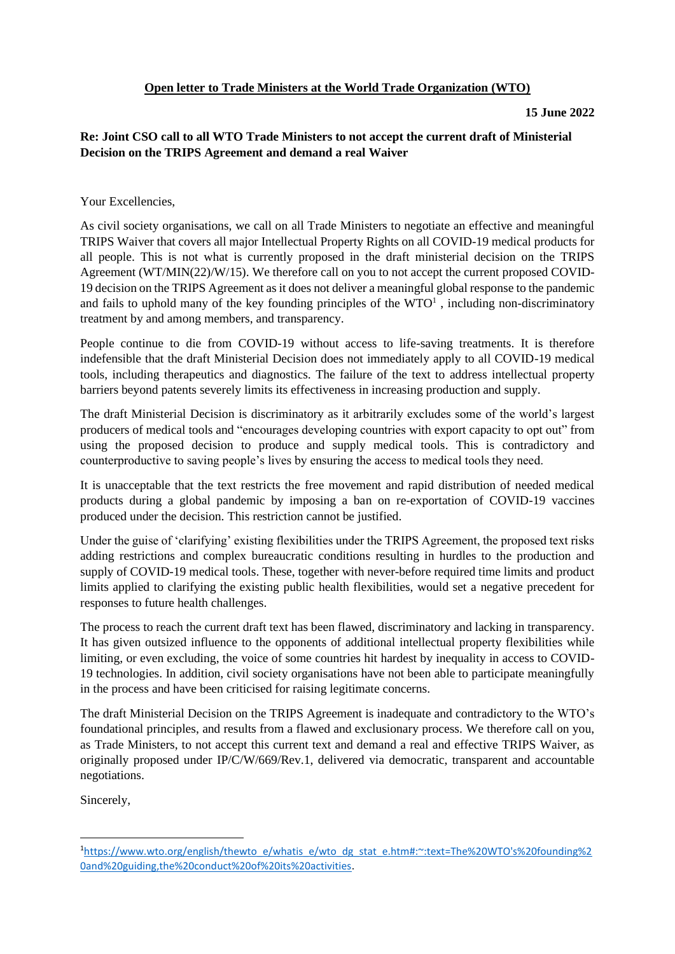## **15 June 2022**

## **Re: Joint CSO call to all WTO Trade Ministers to not accept the current draft of Ministerial Decision on the TRIPS Agreement and demand a real Waiver**

Your Excellencies,

As civil society organisations, we call on all Trade Ministers to negotiate an effective and meaningful TRIPS Waiver that covers all major Intellectual Property Rights on all COVID-19 medical products for all people. This is not what is currently proposed in the draft ministerial decision on the TRIPS Agreement (WT/MIN(22)/W/15). We therefore call on you to not accept the current proposed COVID-19 decision on the TRIPS Agreement as it does not deliver a meaningful global response to the pandemic and fails to uphold many of the key founding principles of the  $WTO<sup>1</sup>$ , including non-discriminatory treatment by and among members, and transparency.

People continue to die from COVID-19 without access to life-saving treatments. It is therefore indefensible that the draft Ministerial Decision does not immediately apply to all COVID-19 medical tools, including therapeutics and diagnostics. The failure of the text to address intellectual property barriers beyond patents severely limits its effectiveness in increasing production and supply.

The draft Ministerial Decision is discriminatory as it arbitrarily excludes some of the world's largest producers of medical tools and "encourages developing countries with export capacity to opt out" from using the proposed decision to produce and supply medical tools. This is contradictory and counterproductive to saving people's lives by ensuring the access to medical tools they need.

It is unacceptable that the text restricts the free movement and rapid distribution of needed medical products during a global pandemic by imposing a ban on re-exportation of COVID-19 vaccines produced under the decision. This restriction cannot be justified.

Under the guise of 'clarifying' existing flexibilities under the TRIPS Agreement, the proposed text risks adding restrictions and complex bureaucratic conditions resulting in hurdles to the production and supply of COVID-19 medical tools. These, together with never-before required time limits and product limits applied to clarifying the existing public health flexibilities, would set a negative precedent for responses to future health challenges.

The process to reach the current draft text has been flawed, discriminatory and lacking in transparency. It has given outsized influence to the opponents of additional intellectual property flexibilities while limiting, or even excluding, the voice of some countries hit hardest by inequality in access to COVID-19 technologies. In addition, civil society organisations have not been able to participate meaningfully in the process and have been criticised for raising legitimate concerns.

The draft Ministerial Decision on the TRIPS Agreement is inadequate and contradictory to the WTO's foundational principles, and results from a flawed and exclusionary process. We therefore call on you, as Trade Ministers, to not accept this current text and demand a real and effective TRIPS Waiver, as originally proposed under IP/C/W/669/Rev.1, delivered via democratic, transparent and accountable negotiations.

Sincerely,

<sup>1</sup>[https://www.wto.org/english/thewto\\_e/whatis\\_e/wto\\_dg\\_stat\\_e.htm#:~:text=The%20WTO's%20founding%2](https://www.wto.org/english/thewto_e/whatis_e/wto_dg_stat_e.htm#:~:text=The%20WTO) [0and%20guiding,the%20conduct%20of%20its%20activities.](https://www.wto.org/english/thewto_e/whatis_e/wto_dg_stat_e.htm#:~:text=The%20WTO)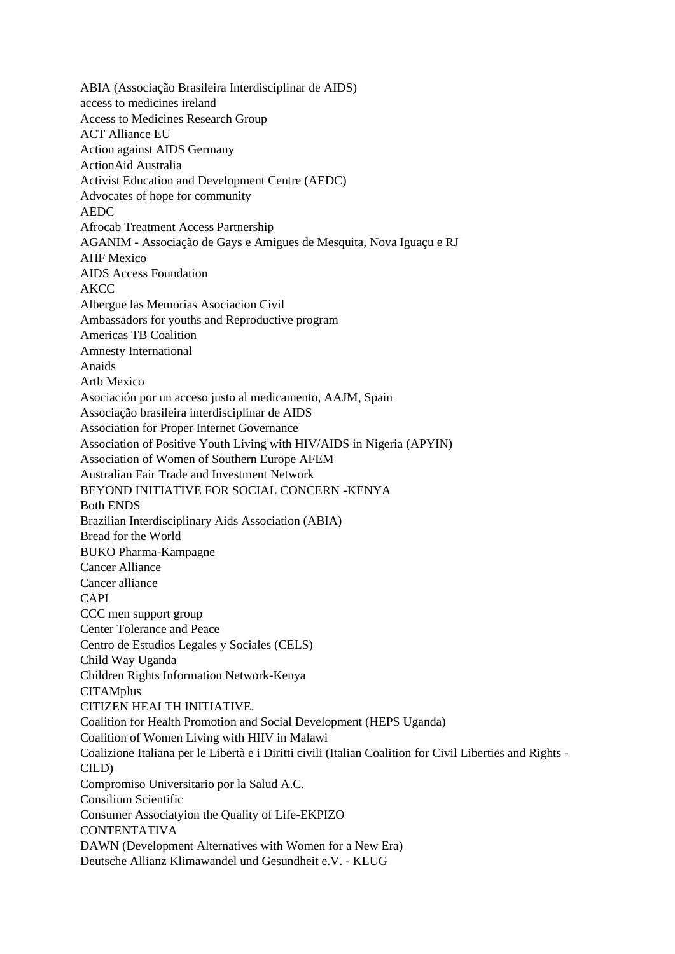ABIA (Associação Brasileira Interdisciplinar de AIDS) access to medicines ireland Access to Medicines Research Group ACT Alliance EU Action against AIDS Germany ActionAid Australia Activist Education and Development Centre (AEDC) Advocates of hope for community AEDC Afrocab Treatment Access Partnership AGANIM - Associação de Gays e Amigues de Mesquita, Nova Iguaçu e RJ AHF Mexico AIDS Access Foundation AKCC Albergue las Memorias Asociacion Civil Ambassadors for youths and Reproductive program Americas TB Coalition Amnesty International Anaids Artb Mexico Asociación por un acceso justo al medicamento, AAJM, Spain Associação brasileira interdisciplinar de AIDS Association for Proper Internet Governance Association of Positive Youth Living with HIV/AIDS in Nigeria (APYIN) Association of Women of Southern Europe AFEM Australian Fair Trade and Investment Network BEYOND INITIATIVE FOR SOCIAL CONCERN -KENYA Both ENDS Brazilian Interdisciplinary Aids Association (ABIA) Bread for the World BUKO Pharma-Kampagne Cancer Alliance Cancer alliance CAPI CCC men support group Center Tolerance and Peace Centro de Estudios Legales y Sociales (CELS) Child Way Uganda Children Rights Information Network-Kenya **CITAMplus** CITIZEN HEALTH INITIATIVE. Coalition for Health Promotion and Social Development (HEPS Uganda) Coalition of Women Living with HIIV in Malawi Coalizione Italiana per le Libertà e i Diritti civili (Italian Coalition for Civil Liberties and Rights - CILD) Compromiso Universitario por la Salud A.C. Consilium Scientific Consumer Associatyion the Quality of Life-EKPIZO **CONTENTATIVA** DAWN (Development Alternatives with Women for a New Era) Deutsche Allianz Klimawandel und Gesundheit e.V. - KLUG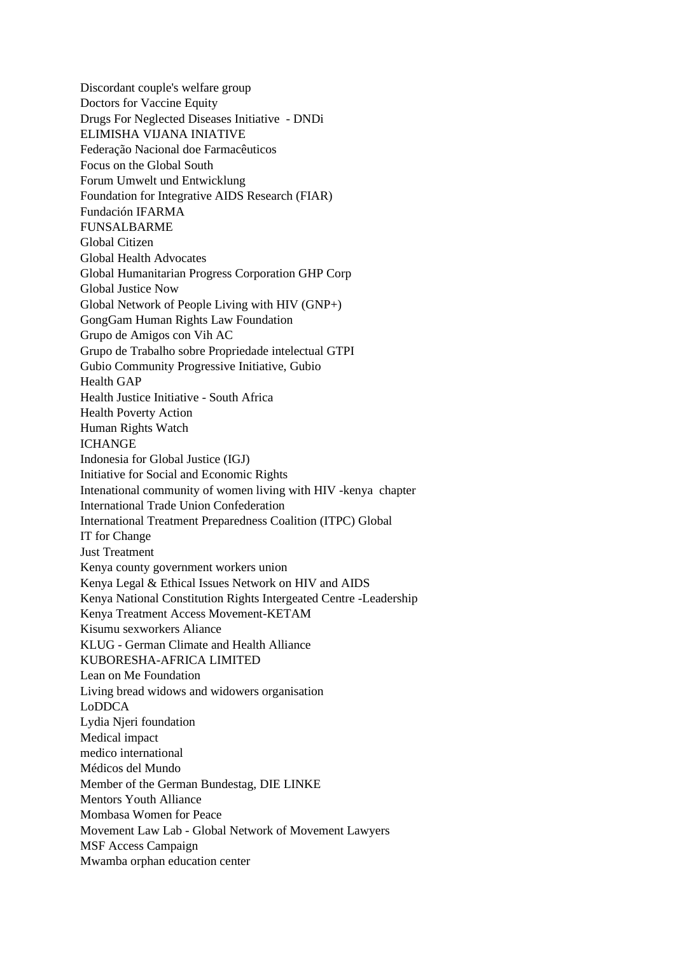Discordant couple's welfare group Doctors for Vaccine Equity Drugs For Neglected Diseases Initiative - DNDi ELIMISHA VIJANA INIATIVE Federação Nacional doe Farmacêuticos Focus on the Global South Forum Umwelt und Entwicklung Foundation for Integrative AIDS Research (FIAR) Fundación IFARMA FUNSALBARME Global Citizen Global Health Advocates Global Humanitarian Progress Corporation GHP Corp Global Justice Now Global Network of People Living with HIV (GNP+) GongGam Human Rights Law Foundation Grupo de Amigos con Vih AC Grupo de Trabalho sobre Propriedade intelectual GTPI Gubio Community Progressive Initiative, Gubio Health GAP Health Justice Initiative - South Africa Health Poverty Action Human Rights Watch **ICHANGE** Indonesia for Global Justice (IGJ) Initiative for Social and Economic Rights Intenational community of women living with HIV -kenya chapter International Trade Union Confederation International Treatment Preparedness Coalition (ITPC) Global IT for Change Just Treatment Kenya county government workers union Kenya Legal & Ethical Issues Network on HIV and AIDS Kenya National Constitution Rights Intergeated Centre -Leadership Kenya Treatment Access Movement-KETAM Kisumu sexworkers Aliance KLUG - German Climate and Health Alliance KUBORESHA-AFRICA LIMITED Lean on Me Foundation Living bread widows and widowers organisation LoDDCA Lydia Njeri foundation Medical impact medico international Médicos del Mundo Member of the German Bundestag, DIE LINKE Mentors Youth Alliance Mombasa Women for Peace Movement Law Lab - Global Network of Movement Lawyers MSF Access Campaign Mwamba orphan education center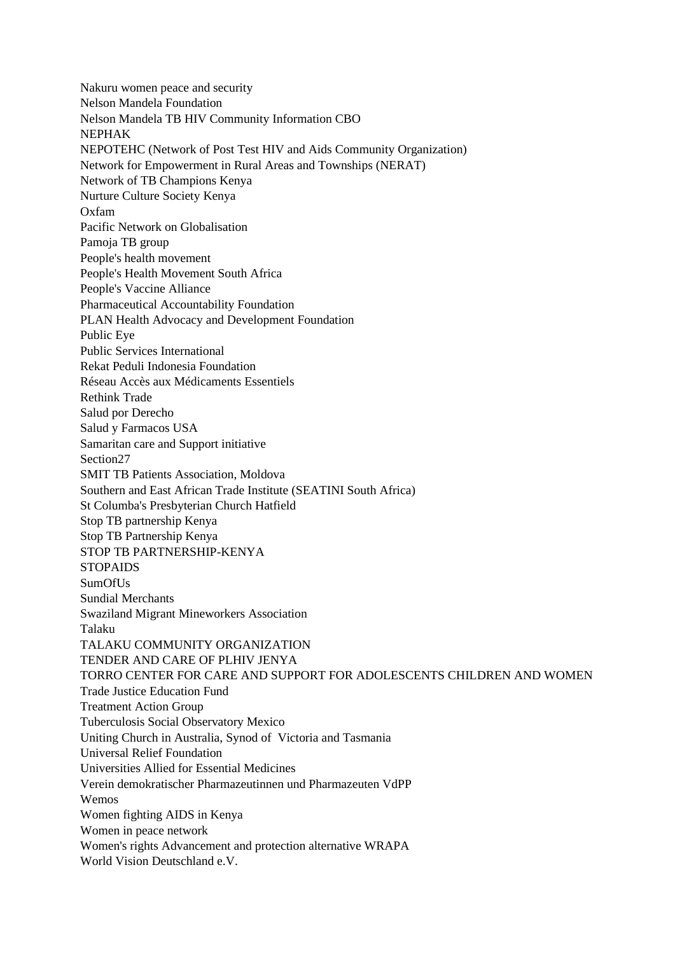Nakuru women peace and security Nelson Mandela Foundation Nelson Mandela TB HIV Community Information CBO NEPHAK NEPOTEHC (Network of Post Test HIV and Aids Community Organization) Network for Empowerment in Rural Areas and Townships (NERAT) Network of TB Champions Kenya Nurture Culture Society Kenya Oxfam Pacific Network on Globalisation Pamoja TB group People's health movement People's Health Movement South Africa People's Vaccine Alliance Pharmaceutical Accountability Foundation PLAN Health Advocacy and Development Foundation Public Eye Public Services International Rekat Peduli Indonesia Foundation Réseau Accès aux Médicaments Essentiels Rethink Trade Salud por Derecho Salud y Farmacos USA Samaritan care and Support initiative Section27 SMIT TB Patients Association, Moldova Southern and East African Trade Institute (SEATINI South Africa) St Columba's Presbyterian Church Hatfield Stop TB partnership Kenya Stop TB Partnership Kenya STOP TB PARTNERSHIP-KENYA **STOPAIDS** SumOfUs Sundial Merchants Swaziland Migrant Mineworkers Association Talaku TALAKU COMMUNITY ORGANIZATION TENDER AND CARE OF PLHIV JENYA TORRO CENTER FOR CARE AND SUPPORT FOR ADOLESCENTS CHILDREN AND WOMEN Trade Justice Education Fund Treatment Action Group Tuberculosis Social Observatory Mexico Uniting Church in Australia, Synod of Victoria and Tasmania Universal Relief Foundation Universities Allied for Essential Medicines Verein demokratischer Pharmazeutinnen und Pharmazeuten VdPP Wemos Women fighting AIDS in Kenya Women in peace network Women's rights Advancement and protection alternative WRAPA World Vision Deutschland e.V.